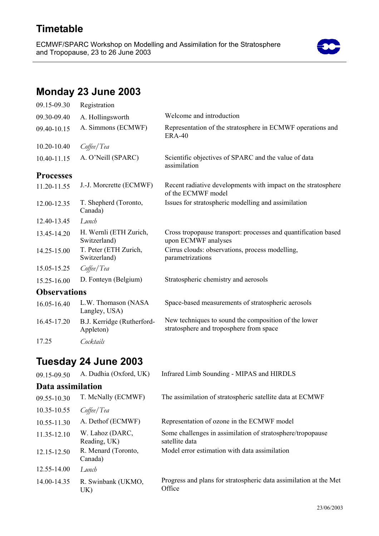### **Timetable**

ECMWF/SPARC Workshop on Modelling and Assimilation for the Stratosphere and Tropopause, 23 to 26 June 2003



# **Monday 23 June 2003**

| 09.15-09.30         | Registration                            |                                                                                                 |
|---------------------|-----------------------------------------|-------------------------------------------------------------------------------------------------|
| 09.30-09.40         | A. Hollingsworth                        | Welcome and introduction                                                                        |
| 09.40-10.15         | A. Simmons (ECMWF)                      | Representation of the stratosphere in ECMWF operations and<br><b>ERA-40</b>                     |
| 10.20-10.40         | Coffee/Tea                              |                                                                                                 |
| 10.40-11.15         | A. O'Neill (SPARC)                      | Scientific objectives of SPARC and the value of data<br>assimilation                            |
| <b>Processes</b>    |                                         |                                                                                                 |
| 11.20-11.55         | J.-J. Morcrette (ECMWF)                 | Recent radiative developments with impact on the stratosphere<br>of the ECMWF model             |
| 12.00-12.35         | T. Shepherd (Toronto,<br>Canada)        | Issues for stratospheric modelling and assimilation                                             |
| 12.40-13.45         | Lunch                                   |                                                                                                 |
| 13.45-14.20         | H. Wernli (ETH Zurich,<br>Switzerland)  | Cross tropopause transport: processes and quantification based<br>upon ECMWF analyses           |
| 14.25-15.00         | T. Peter (ETH Zurich,<br>Switzerland)   | Cirrus clouds: observations, process modelling,<br>parametrizations                             |
| 15.05-15.25         | Coffee/Tea                              |                                                                                                 |
| 15.25-16.00         | D. Fonteyn (Belgium)                    | Stratospheric chemistry and aerosols                                                            |
| <b>Observations</b> |                                         |                                                                                                 |
| 16.05-16.40         | L.W. Thomason (NASA<br>Langley, USA)    | Space-based measurements of stratospheric aerosols                                              |
| 16.45-17.20         | B.J. Kerridge (Rutherford-<br>Appleton) | New techniques to sound the composition of the lower<br>stratosphere and troposphere from space |
| 17.25               | Cocktails                               |                                                                                                 |

# **Tuesday 24 June 2003**

| 09.15-09.50       | A. Dudhia (Oxford, UK)          | Infrared Limb Sounding - MIPAS and HIRDLS                                    |
|-------------------|---------------------------------|------------------------------------------------------------------------------|
| Data assimilation |                                 |                                                                              |
| 09.55-10.30       | T. McNally (ECMWF)              | The assimilation of stratospheric satellite data at ECMWF                    |
| 10.35-10.55       | $C$ offee/Tea                   |                                                                              |
| 10.55-11.30       | A. Dethof (ECMWF)               | Representation of ozone in the ECMWF model                                   |
| 11.35-12.10       | W. Lahoz (DARC,<br>Reading, UK) | Some challenges in assimilation of stratosphere/tropopause<br>satellite data |
| 12.15-12.50       | R. Menard (Toronto,<br>Canada)  | Model error estimation with data assimilation                                |
| 12.55-14.00       | Lunch                           |                                                                              |
| 14.00-14.35       | R. Swinbank (UKMO,<br>UK)       | Progress and plans for stratospheric data assimilation at the Met<br>Office  |